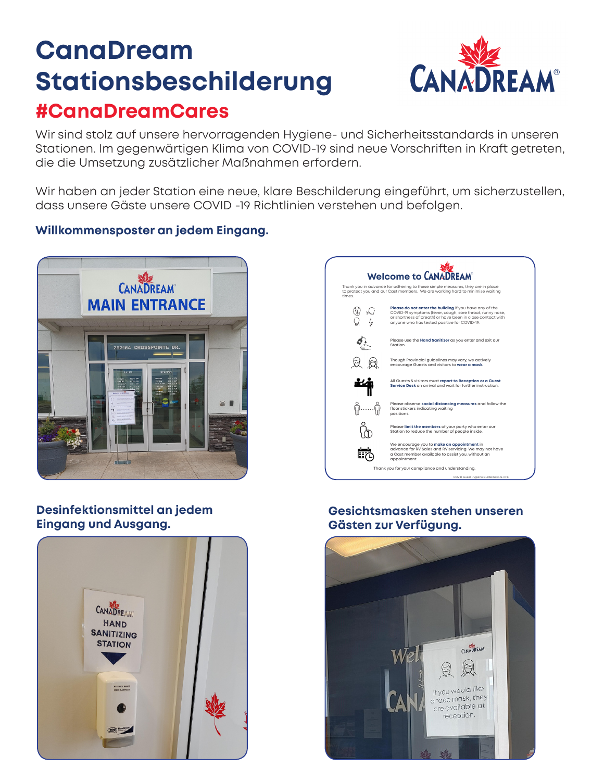## **CanaDream Stationsbeschilderung #CanaDreamCares**



Wir sind stolz auf unsere hervorragenden Hygiene- und Sicherheitsstandards in unseren Stationen. Im gegenwärtigen Klima von COVID-19 sind neue Vorschriften in Kraft getreten, die die Umsetzung zusätzlicher Maßnahmen erfordern.

Wir haben an jeder Station eine neue, klare Beschilderung eingeführt, um sicherzustellen, dass unsere Gäste unsere COVID -19 Richtlinien verstehen und befolgen.

## **Willkommensposter an jedem Eingang.**



**Desinfektionsmittel an jedem Eingang und Ausgang.**





## **Gesichtsmasken stehen unseren Gästen zur Verfügung.**